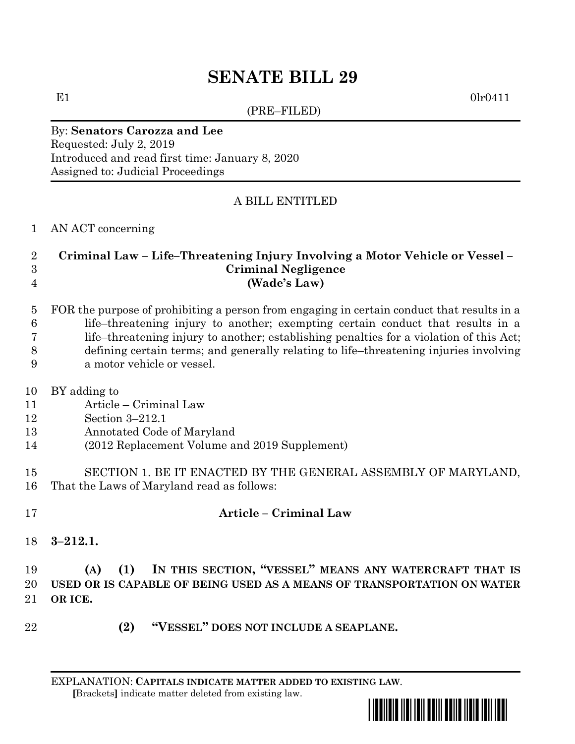# **SENATE BILL 29**

(PRE–FILED)

 $E1$  0lr0411

## By: **Senators Carozza and Lee**

Requested: July 2, 2019 Introduced and read first time: January 8, 2020 Assigned to: Judicial Proceedings

#### A BILL ENTITLED

AN ACT concerning

#### **Criminal Law – Life–Threatening Injury Involving a Motor Vehicle or Vessel – Criminal Negligence (Wade's Law)**

 FOR the purpose of prohibiting a person from engaging in certain conduct that results in a life–threatening injury to another; exempting certain conduct that results in a life–threatening injury to another; establishing penalties for a violation of this Act; defining certain terms; and generally relating to life–threatening injuries involving a motor vehicle or vessel.

- BY adding to
- Article Criminal Law
- Section 3–212.1
- Annotated Code of Maryland
- (2012 Replacement Volume and 2019 Supplement)
- SECTION 1. BE IT ENACTED BY THE GENERAL ASSEMBLY OF MARYLAND, That the Laws of Maryland read as follows:
- **Article – Criminal Law**
- **3–212.1.**

### **(A) (1) IN THIS SECTION, "VESSEL" MEANS ANY WATERCRAFT THAT IS USED OR IS CAPABLE OF BEING USED AS A MEANS OF TRANSPORTATION ON WATER OR ICE.**

**(2) "VESSEL" DOES NOT INCLUDE A SEAPLANE.**

EXPLANATION: **CAPITALS INDICATE MATTER ADDED TO EXISTING LAW**.